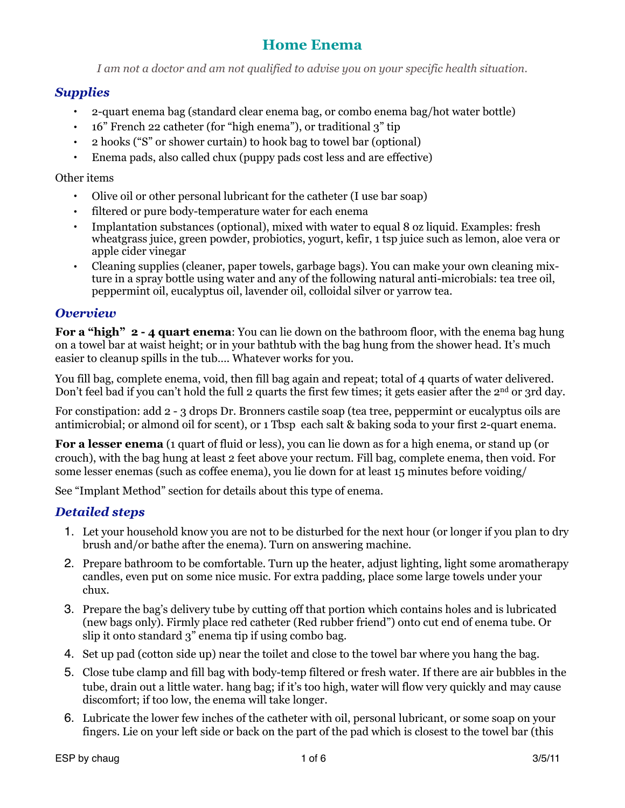*I am not a doctor and am not qualified to advise you on your specific health situation.*

## *Supplies*

- 2-quart enema bag (standard clear enema bag, or combo enema bag/hot water bottle)
- 16" French 22 catheter (for "high enema"), or traditional 3" tip
- 2 hooks ("S" or shower curtain) to hook bag to towel bar (optional)
- Enema pads, also called chux (puppy pads cost less and are effective)

#### Other items

- Olive oil or other personal lubricant for the catheter (I use bar soap)
- filtered or pure body-temperature water for each enema
- Implantation substances (optional), mixed with water to equal 8 oz liquid. Examples: fresh wheatgrass juice, green powder, probiotics, yogurt, kefir, 1 tsp juice such as lemon, aloe vera or apple cider vinegar
- Cleaning supplies (cleaner, paper towels, garbage bags). You can make your own cleaning mixture in a spray bottle using water and any of the following natural anti-microbials: tea tree oil, peppermint oil, eucalyptus oil, lavender oil, colloidal silver or yarrow tea.

### *Overview*

**For a "high" 2 - 4 quart enema:** You can lie down on the bathroom floor, with the enema bag hung on a towel bar at waist height; or in your bathtub with the bag hung from the shower head. It's much easier to cleanup spills in the tub…. Whatever works for you.

You fill bag, complete enema, void, then fill bag again and repeat; total of 4 quarts of water delivered. Don't feel bad if you can't hold the full 2 quarts the first few times; it gets easier after the 2<sup>nd</sup> or 3rd day.

For constipation: add 2 - 3 drops Dr. Bronners castile soap (tea tree, peppermint or eucalyptus oils are antimicrobial; or almond oil for scent), or 1 Tbsp each salt & baking soda to your first 2-quart enema.

**For a lesser enema** (1 quart of fluid or less), you can lie down as for a high enema, or stand up (or crouch), with the bag hung at least 2 feet above your rectum. Fill bag, complete enema, then void. For some lesser enemas (such as coffee enema), you lie down for at least 15 minutes before voiding/

See "Implant Method" section for details about this type of enema.

## *Detailed steps*

- 1. Let your household know you are not to be disturbed for the next hour (or longer if you plan to dry brush and/or bathe after the enema). Turn on answering machine.
- 2. Prepare bathroom to be comfortable. Turn up the heater, adjust lighting, light some aromatherapy candles, even put on some nice music. For extra padding, place some large towels under your chux.
- 3. Prepare the bag's delivery tube by cutting off that portion which contains holes and is lubricated (new bags only). Firmly place red catheter (Red rubber friend") onto cut end of enema tube. Or slip it onto standard 3" enema tip if using combo bag.
- 4. Set up pad (cotton side up) near the toilet and close to the towel bar where you hang the bag.
- 5. Close tube clamp and fill bag with body-temp filtered or fresh water. If there are air bubbles in the tube, drain out a little water. hang bag; if it's too high, water will flow very quickly and may cause discomfort; if too low, the enema will take longer.
- 6. Lubricate the lower few inches of the catheter with oil, personal lubricant, or some soap on your fingers. Lie on your left side or back on the part of the pad which is closest to the towel bar (this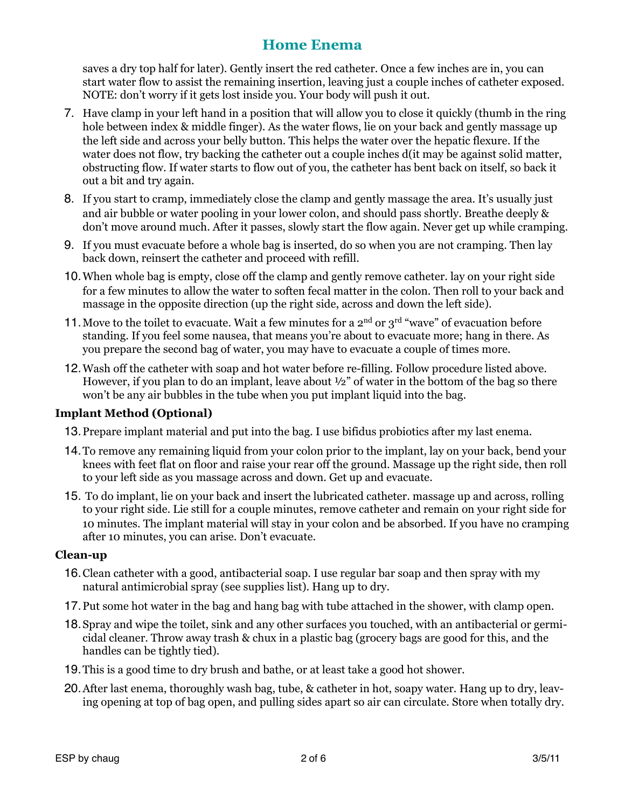saves a dry top half for later). Gently insert the red catheter. Once a few inches are in, you can start water flow to assist the remaining insertion, leaving just a couple inches of catheter exposed. NOTE: don't worry if it gets lost inside you. Your body will push it out.

- 7. Have clamp in your left hand in a position that will allow you to close it quickly (thumb in the ring hole between index & middle finger). As the water flows, lie on your back and gently massage up the left side and across your belly button. This helps the water over the hepatic flexure. If the water does not flow, try backing the catheter out a couple inches d(it may be against solid matter, obstructing flow. If water starts to flow out of you, the catheter has bent back on itself, so back it out a bit and try again.
- 8. If you start to cramp, immediately close the clamp and gently massage the area. It's usually just and air bubble or water pooling in your lower colon, and should pass shortly. Breathe deeply & don't move around much. After it passes, slowly start the flow again. Never get up while cramping.
- 9. If you must evacuate before a whole bag is inserted, do so when you are not cramping. Then lay back down, reinsert the catheter and proceed with refill.
- 10.When whole bag is empty, close off the clamp and gently remove catheter. lay on your right side for a few minutes to allow the water to soften fecal matter in the colon. Then roll to your back and massage in the opposite direction (up the right side, across and down the left side).
- 11. Move to the toilet to evacuate. Wait a few minutes for a  $2<sup>nd</sup>$  or  $3<sup>rd</sup>$  "wave" of evacuation before standing. If you feel some nausea, that means you're about to evacuate more; hang in there. As you prepare the second bag of water, you may have to evacuate a couple of times more.
- 12.Wash off the catheter with soap and hot water before re-filling. Follow procedure listed above. However, if you plan to do an implant, leave about  $\frac{1}{2}$  of water in the bottom of the bag so there won't be any air bubbles in the tube when you put implant liquid into the bag.

### **Implant Method (Optional)**

- 13.Prepare implant material and put into the bag. I use bifidus probiotics after my last enema.
- 14.To remove any remaining liquid from your colon prior to the implant, lay on your back, bend your knees with feet flat on floor and raise your rear off the ground. Massage up the right side, then roll to your left side as you massage across and down. Get up and evacuate.
- 15. To do implant, lie on your back and insert the lubricated catheter. massage up and across, rolling to your right side. Lie still for a couple minutes, remove catheter and remain on your right side for 10 minutes. The implant material will stay in your colon and be absorbed. If you have no cramping after 10 minutes, you can arise. Don't evacuate.

#### **Clean-up**

- 16.Clean catheter with a good, antibacterial soap. I use regular bar soap and then spray with my natural antimicrobial spray (see supplies list). Hang up to dry.
- 17.Put some hot water in the bag and hang bag with tube attached in the shower, with clamp open.
- 18.Spray and wipe the toilet, sink and any other surfaces you touched, with an antibacterial or germicidal cleaner. Throw away trash & chux in a plastic bag (grocery bags are good for this, and the handles can be tightly tied).
- 19.This is a good time to dry brush and bathe, or at least take a good hot shower.
- 20.After last enema, thoroughly wash bag, tube, & catheter in hot, soapy water. Hang up to dry, leaving opening at top of bag open, and pulling sides apart so air can circulate. Store when totally dry.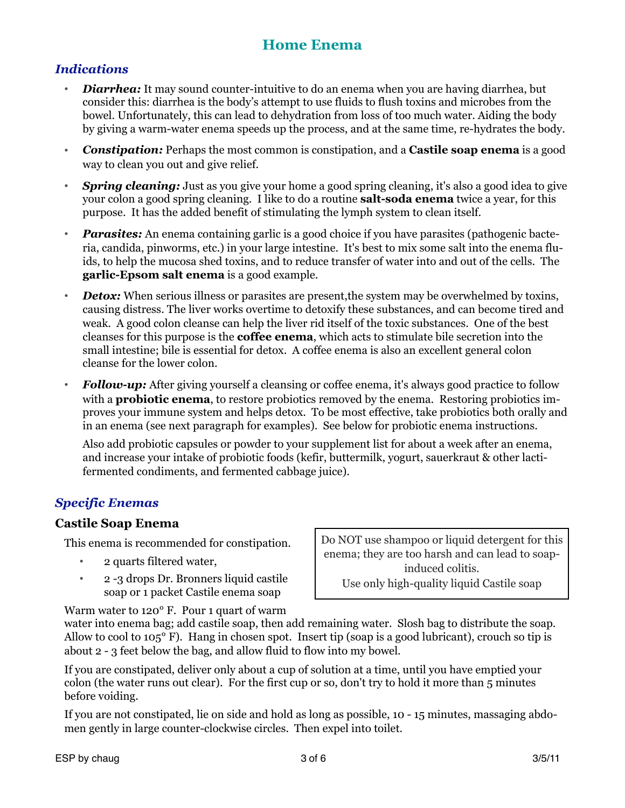## *Indications*

- *Diarrhea:* It may sound counter-intuitive to do an enema when you are having diarrhea, but consider this: diarrhea is the body's attempt to use fluids to flush toxins and microbes from the bowel. Unfortunately, this can lead to dehydration from loss of too much water. Aiding the body by giving a warm-water enema speeds up the process, and at the same time, re-hydrates the body.
- *Constipation:* Perhaps the most common is constipation, and a **Castile soap enema** is a good way to clean you out and give relief.
- *Spring cleaning:* Just as you give your home a good spring cleaning, it's also a good idea to give your colon a good spring cleaning. I like to do a routine **salt-soda enema** twice a year, for this purpose. It has the added benefit of stimulating the lymph system to clean itself.
- *Parasites:* An enema containing garlic is a good choice if you have parasites (pathogenic bacteria, candida, pinworms, etc.) in your large intestine. It's best to mix some salt into the enema fluids, to help the mucosa shed toxins, and to reduce transfer of water into and out of the cells. The **garlic-Epsom salt enema** is a good example.
- *Detox:* When serious illness or parasites are present, the system may be overwhelmed by toxins, causing distress. The liver works overtime to detoxify these substances, and can become tired and weak. A good colon cleanse can help the liver rid itself of the toxic substances. One of the best cleanses for this purpose is the **coffee enema**, which acts to stimulate bile secretion into the small intestine; bile is essential for detox. A coffee enema is also an excellent general colon cleanse for the lower colon.
- *Follow-up:* After giving yourself a cleansing or coffee enema, it's always good practice to follow with a **probiotic enema**, to restore probiotics removed by the enema. Restoring probiotics improves your immune system and helps detox. To be most effective, take probiotics both orally and in an enema (see next paragraph for examples). See below for probiotic enema instructions.

Also add probiotic capsules or powder to your supplement list for about a week after an enema, and increase your intake of probiotic foods (kefir, buttermilk, yogurt, sauerkraut & other lactifermented condiments, and fermented cabbage juice).

## *Specific Enemas*

### **Castile Soap Enema**

This enema is recommended for constipation.

- 2 quarts filtered water,
- 2 -3 drops Dr. Bronners liquid castile soap or 1 packet Castile enema soap

Do NOT use shampoo or liquid detergent for this enema; they are too harsh and can lead to soapinduced colitis. Use only high-quality liquid Castile soap

Warm water to 120° F. Pour 1 quart of warm

water into enema bag; add castile soap, then add remaining water. Slosh bag to distribute the soap. Allow to cool to 105° F). Hang in chosen spot. Insert tip (soap is a good lubricant), crouch so tip is about 2 - 3 feet below the bag, and allow fluid to flow into my bowel.

If you are constipated, deliver only about a cup of solution at a time, until you have emptied your colon (the water runs out clear). For the first cup or so, don't try to hold it more than 5 minutes before voiding.

If you are not constipated, lie on side and hold as long as possible, 10 - 15 minutes, massaging abdomen gently in large counter-clockwise circles. Then expel into toilet.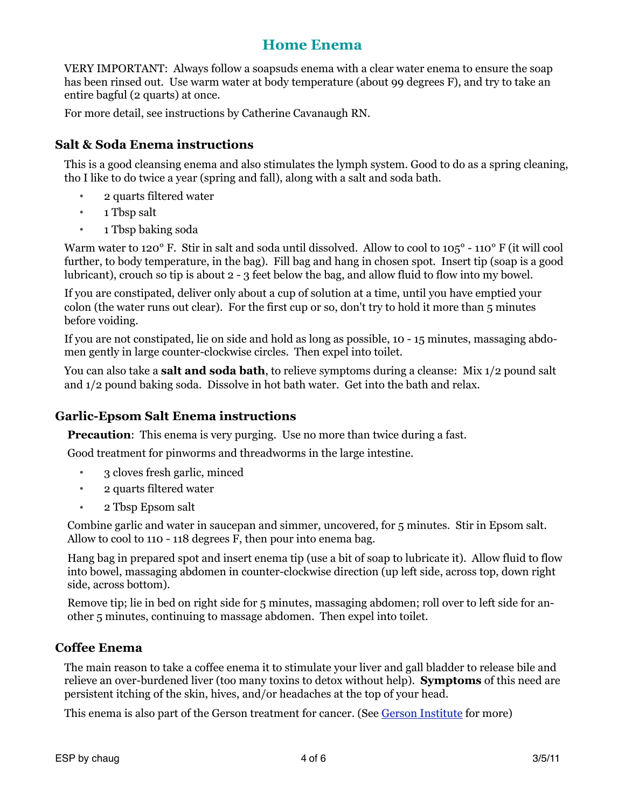VERY IMPORTANT: Always follow a soapsuds enema with a clear water enema to ensure the soap has been rinsed out. Use warm water at body temperature (about 99 degrees F), and try to take an entire bagful (2 quarts) at once.

For more detail, see instructions by [Catherine Cavanaugh RN](http://www.geocities.com/valerie_cct/enemas.html).

## **Salt & Soda Enema instructions**

This is a good cleansing enema and also stimulates the lymph system. Good to do as a spring cleaning, tho I like to do twice a year (spring and fall), along with a salt and soda bath.

- 2 quarts filtered water
- 1 Tbsp salt
- 1 Tbsp baking soda

Warm water to 120° F. Stir in salt and soda until dissolved. Allow to cool to 105° - 110° F (it will cool further, to body temperature, in the bag). Fill bag and hang in chosen spot. Insert tip (soap is a good lubricant), crouch so tip is about 2 - 3 feet below the bag, and allow fluid to flow into my bowel.

If you are constipated, deliver only about a cup of solution at a time, until you have emptied your colon (the water runs out clear). For the first cup or so, don't try to hold it more than 5 minutes before voiding.

If you are not constipated, lie on side and hold as long as possible, 10 - 15 minutes, massaging abdomen gently in large counter-clockwise circles. Then expel into toilet.

You can also take a **salt and soda bath**, to relieve symptoms during a cleanse: Mix 1/2 pound salt and 1/2 pound baking soda. Dissolve in hot bath water. Get into the bath and relax.

## **Garlic-Epsom Salt Enema instructions**

**Precaution:** This enema is very purging. Use no more than twice during a fast.

Good treatment for pinworms and threadworms in the large intestine.

- 3 cloves fresh garlic, minced
- 2 quarts filtered water
- 2 Tbsp Epsom salt

Combine garlic and water in saucepan and simmer, uncovered, for 5 minutes. Stir in Epsom salt. Allow to cool to 110 - 118 degrees F, then pour into enema bag.

Hang bag in prepared spot and insert enema tip (use a bit of soap to lubricate it). Allow fluid to flow into bowel, massaging abdomen in counter-clockwise direction (up left side, across top, down right side, across bottom).

Remove tip; lie in bed on right side for 5 minutes, massaging abdomen; roll over to left side for another 5 minutes, continuing to massage abdomen. Then expel into toilet.

## **Coffee Enema**

The main reason to take a coffee enema it to stimulate your liver and gall bladder to release bile and relieve an over-burdened liver (too many toxins to detox without help). **Symptoms** of this need are persistent itching of the skin, hives, and/or headaches at the top of your head.

This enema is also part of the Gerson treatment for cancer. (See [Gerson Institute](http://www.gerson.org/) for more)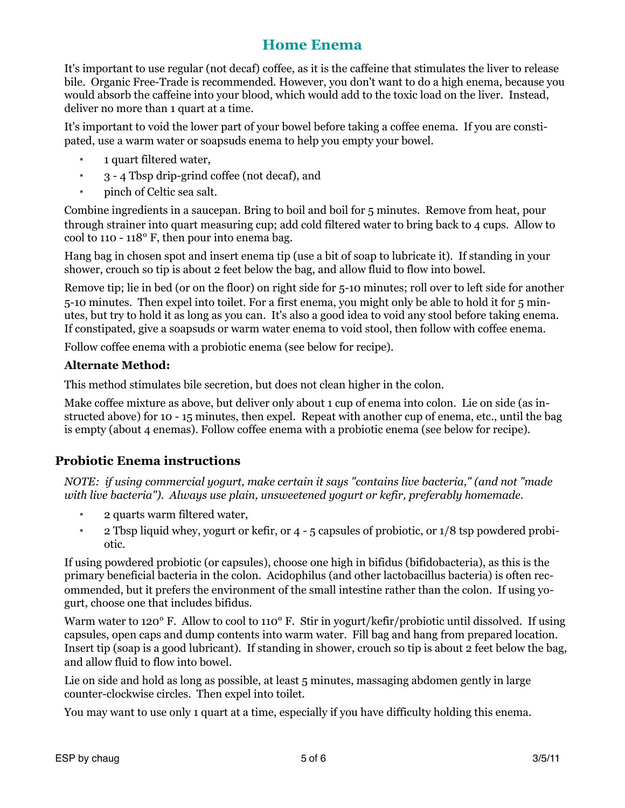It's important to use regular (not decaf) coffee, as it is the caffeine that stimulates the liver to release bile. Organic Free-Trade is recommended. However, you don't want to do a high enema, because you would absorb the caffeine into your blood, which would add to the toxic load on the liver. Instead, deliver no more than 1 quart at a time.

It's important to void the lower part of your bowel before taking a coffee enema. If you are constipated, use a warm water or soapsuds enema to help you empty your bowel.

- 1 quart filtered water,
- 3 4 Tbsp drip-grind coffee (not decaf), and
- pinch of Celtic sea salt.

Combine ingredients in a saucepan. Bring to boil and boil for 5 minutes. Remove from heat, pour through strainer into quart measuring cup; add cold filtered water to bring back to 4 cups. Allow to cool to 110 - 118° F, then pour into enema bag.

Hang bag in chosen spot and insert enema tip (use a bit of soap to lubricate it). If standing in your shower, crouch so tip is about 2 feet below the bag, and allow fluid to flow into bowel.

Remove tip; lie in bed (or on the floor) on right side for 5-10 minutes; roll over to left side for another 5-10 minutes. Then expel into toilet. For a first enema, you might only be able to hold it for 5 minutes, but try to hold it as long as you can. It's also a good idea to void any stool before taking enema. If constipated, give a soapsuds or warm water enema to void stool, then follow with coffee enema.

Follow coffee enema with a probiotic enema (see below for recipe).

#### **Alternate Method:**

This method stimulates bile secretion, but does not clean higher in the colon.

Make coffee mixture as above, but deliver only about 1 cup of enema into colon. Lie on side (as instructed above) for 10 - 15 minutes, then expel. Repeat with another cup of enema, etc., until the bag is empty (about 4 enemas). Follow coffee enema with a probiotic enema (see below for recipe).

## **Probiotic Enema instructions**

*NOTE: if using commercial yogurt, make certain it says "contains live bacteria," (and not "made with live bacteria"). Always use plain, unsweetened yogurt or kefir, preferably homemade.* 

- 2 quarts warm filtered water,
- 2 Tbsp liquid whey, yogurt or kefir, or 4 5 capsules of probiotic, or 1/8 tsp powdered probiotic.

If using powdered probiotic (or capsules), choose one high in bifidus (bifidobacteria), as this is the primary beneficial bacteria in the colon. Acidophilus (and other lactobacillus bacteria) is often recommended, but it prefers the environment of the small intestine rather than the colon. If using yogurt, choose one that includes bifidus.

Warm water to 120° F. Allow to cool to 110° F. Stir in yogurt/kefir/probiotic until dissolved. If using capsules, open caps and dump contents into warm water. Fill bag and hang from prepared location. Insert tip (soap is a good lubricant). If standing in shower, crouch so tip is about 2 feet below the bag, and allow fluid to flow into bowel.

Lie on side and hold as long as possible, at least 5 minutes, massaging abdomen gently in large counter-clockwise circles. Then expel into toilet.

You may want to use only 1 quart at a time, especially if you have difficulty holding this enema.